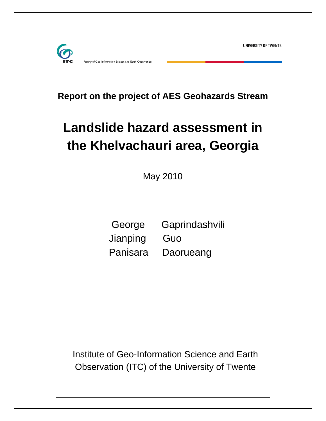UNIVERSITY OF TWENTE.

i



-Information Science and Earth Observatior

**Report on the project of AES Geohazards Stream** 

# **Landslide hazard assessment in the Khelvachauri area, Georgia**

May 2010

 George Gaprindashvili Jianping Guo Panisara Daorueang

Institute of Geo-Information Science and Earth Observation (ITC) of the University of Twente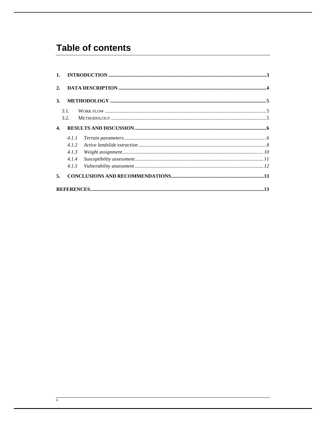# **Table of contents**

| 3.           |       |                                                                                                                                                                                                                                                                                                                                                                                                                                        |  |
|--------------|-------|----------------------------------------------------------------------------------------------------------------------------------------------------------------------------------------------------------------------------------------------------------------------------------------------------------------------------------------------------------------------------------------------------------------------------------------|--|
|              | 3.1.  |                                                                                                                                                                                                                                                                                                                                                                                                                                        |  |
|              | 3.2.  |                                                                                                                                                                                                                                                                                                                                                                                                                                        |  |
| $\mathbf{4}$ |       |                                                                                                                                                                                                                                                                                                                                                                                                                                        |  |
|              | 4.1.1 | $\label{thm:main} Terrain\ parameters  \  \, \ldots \  \, \ldots \  \, \ldots \  \, \ldots \  \, \ldots \  \, \ldots \  \, \ldots \  \, \ldots \  \, \ldots \  \, \ldots \  \, \ldots \  \, \ldots \  \, \ldots \  \, \ldots \  \, \ldots \  \, \ldots \  \, \ldots \  \, \ldots \  \, \ldots \  \, \ldots \  \, \ldots \  \, \ldots \  \, \ldots \  \, \ldots \  \, \ldots \  \, \ldots \  \, \ldots \  \, \ldots \  \, \ldots \  \,$ |  |
|              | 4.1.2 | $\label{eq:active} Active~land slide~ extraction~\\$                                                                                                                                                                                                                                                                                                                                                                                   |  |
|              | 4.1.3 |                                                                                                                                                                                                                                                                                                                                                                                                                                        |  |
|              | 4.1.4 |                                                                                                                                                                                                                                                                                                                                                                                                                                        |  |
|              | 4.1.5 |                                                                                                                                                                                                                                                                                                                                                                                                                                        |  |
| 5.           |       |                                                                                                                                                                                                                                                                                                                                                                                                                                        |  |
|              |       |                                                                                                                                                                                                                                                                                                                                                                                                                                        |  |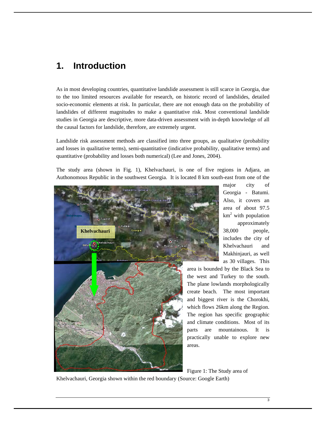# **1. Introduction**

As in most developing countries, quantitative landslide assessment is still scarce in Georgia, due to the too limited resources available for research, on historic record of landslides, detailed socio-economic elements at risk. In particular, there are not enough data on the probability of landslides of different magnitudes to make a quantitative risk. Most conventional landslide studies in Georgia are descriptive, more data-driven assessment with in-depth knowledge of all the causal factors for landslide, therefore, are extremely urgent.

Landslide risk assessment methods are classified into three groups, as qualitative (probability and losses in qualitative terms), semi-quantitative (indicative probability, qualitative terms) and quantitative (probability and losses both numerical) (Lee and Jones, 2004).

The study area (shown in Fig. 1), Khelvachauri, is one of five regions in Adjara, an Authonomous Republic in the southwest Georgia. It is located 8 km south-east from one of the



major city of Georgia - Batumi. Also, it covers an area of about 97.5  $km<sup>2</sup>$  with population approximately 38,000 people, includes the city of Khelvachauri and Makhinjauri, as well as 30 villages. This

area is bounded by the Black Sea to the west and Turkey to the south. The plane lowlands morphologically create beach. The most important and biggest river is the Chorokhi, which flows 26km along the Region. The region has specific geographic and climate conditions. Most of its parts are mountainous. It is practically unable to explore new

Figure 1: The Study area of

Khelvachauri, Georgia shown within the red boundary (Source: Google Earth)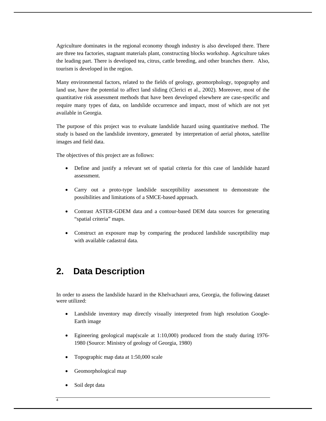Agriculture dominates in the regional economy though industry is also developed there. There are three tea factories, stagnant materials plant, constructing blocks workshop. Agriculture takes the leading part. There is developed tea, citrus, cattle breeding, and other branches there. Also, tourism is developed in the region.

Many environmental factors, related to the fields of geology, geomorphology, topography and land use, have the potential to affect land sliding (Clerici et al., 2002). Moreover, most of the quantitative risk assessment methods that have been developed elsewhere are case-specific and require many types of data, on landslide occurrence and impact, most of which are not yet available in Georgia.

The purpose of this project was to evaluate landslide hazard using quantitative method. The study is based on the landslide inventory, generated by interpretation of aerial photos, satellite images and field data.

The objectives of this project are as follows:

- Define and justify a relevant set of spatial criteria for this case of landslide hazard assessment.
- Carry out a proto-type landslide susceptibility assessment to demonstrate the possibilities and limitations of a SMCE-based approach.
- Contrast ASTER-GDEM data and a contour-based DEM data sources for generating "spatial criteria" maps.
- Construct an exposure map by comparing the produced landslide susceptibility map with available cadastral data.

# **2. Data Description**

In order to assess the landslide hazard in the Khelvachauri area, Georgia, the following dataset were utilized:

- Landslide inventory map directly visually interpreted from high resolution Google-Earth image
- Egineering geological map(scale at 1:10,000) produced from the study during 1976- 1980 (Source: Ministry of geology of Georgia, 1980)
- Topographic map data at 1:50,000 scale
- Geomorphological map
- Soil dept data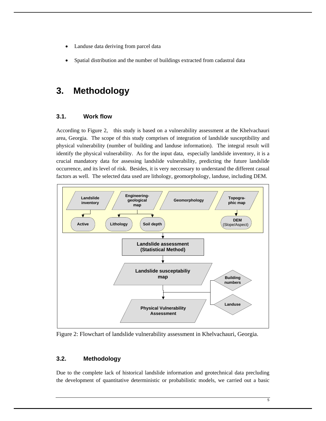- Landuse data deriving from parcel data
- Spatial distribution and the number of buildings extracted from cadastral data

# **3. Methodology**

#### **3.1. Work flow**

According to Figure 2, this study is based on a vulnerability assessment at the Khelvachauri area, Georgia. The scope of this study comprises of integration of landslide susceptibility and physical vulnerability (number of building and landuse information). The integral result will identify the physical vulnerability. As for the input data, especially landslide inventory, it is a crucial mandatory data for assessing landslide vulnerability, predicting the future landslide occurrence, and its level of risk. Besides, it is very neccessary to understand the different casual factors as well. The selected data used are lithology, geomorphology, landuse, including DEM.



Figure 2: Flowchart of landslide vulnerability assessment in Khelvachauri, Georgia.

#### **3.2. Methodology**

Due to the complete lack of historical landslide information and geotechnical data precluding the development of quantitative deterministic or probabilistic models, we carried out a basic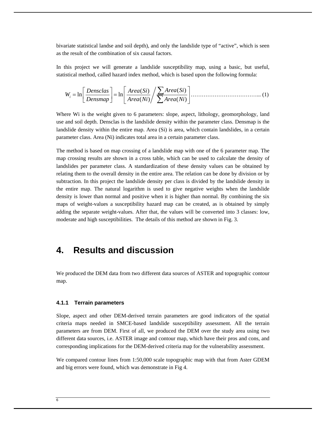bivariate statistical landse and soil depth), and only the landslide type of "active", which is seen as the result of the combination of six causal factors.

In this project we will generate a landslide susceptibility map, using a basic, but useful, statistical method, called hazard index method, which is based upon the following formula:

$$
W_i = \ln\left[\frac{Densclas}{Densmap}\right] = \ln\left[\frac{Area(Si)}{Area(Ni)} / \frac{\sum Area(Si)}{\sum Area(Ni)}\right] \dots \dots \dots \dots \dots \dots \dots \dots \dots \dots \dots \dots \dots \tag{1}
$$

Where Wi is the weight given to 6 parameters: slope, aspect, lithology, geomorphology, land use and soil depth. Densclas is the landslide density within the parameter class. Densmap is the landslide density within the entire map. Area (Si) is area, which contain landslides, in a certain parameter class. Area (Ni) indicates total area in a certain parameter class.

The method is based on map crossing of a landslide map with one of the 6 parameter map. The map crossing results are shown in a cross table, which can be used to calculate the density of landslides per parameter class. A standardization of these density values can be obtained by relating them to the overall density in the entire area. The relation can be done by division or by subtraction. In this project the landslide density per class is divided by the landslide density in the entire map. The natural logarithm is used to give negative weights when the landslide density is lower than normal and positive when it is higher than normal. By combining the six maps of weight-values a susceptibility hazard map can be created, as is obtained by simply adding the separate weight-values. After that, the values will be converted into 3 classes: low, moderate and high susceptibilities. The details of this method are shown in Fig. 3.

### **4. Results and discussion**

We produced the DEM data from two different data sources of ASTER and topographic contour map.

#### **4.1.1 Terrain parameters**

Slope, aspect and other DEM-derived terrain parameters are good indicators of the spatial criteria maps needed in SMCE-based landslide susceptibility assessment. All the terrain parameters are from DEM. First of all, we produced the DEM over the study area using two different data sources, i.e. ASTER image and contour map, which have their pros and cons, and corresponding implications for the DEM-derived criteria map for the vulnerability assessment.

We compared contour lines from 1:50,000 scale topographic map with that from Aster GDEM and big errors were found, which was demonstrate in Fig 4.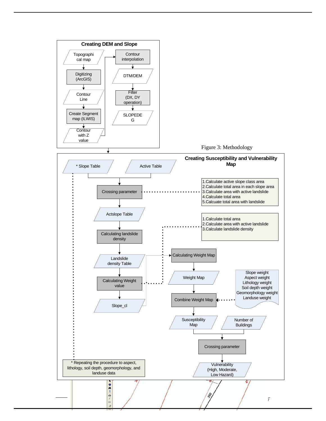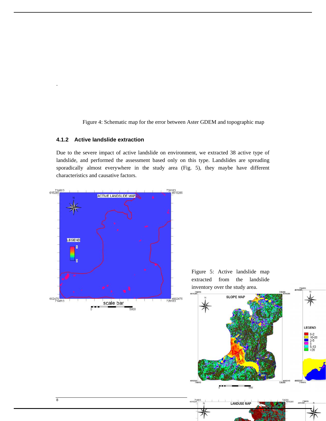Figure 4: Schematic map for the error between Aster GDEM and topographic map

#### **4.1.2 Active landslide extraction**

.

Due to the severe impact of active landslide on environment, we extracted 38 active type of landslide, and performed the assessment based only on this type. Landslides are spreading sporadically almost everywhere in the study area (Fig. 5), they maybe have different characteristics and causative factors.

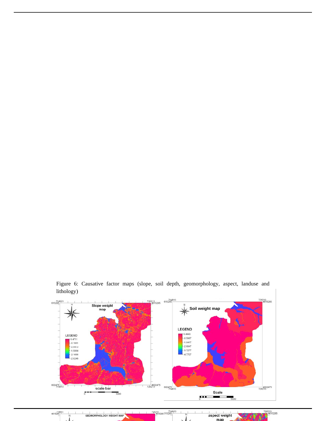

Figure 6: Causative factor maps (slope, soil depth, geomorphology, aspect, landuse and lithology)

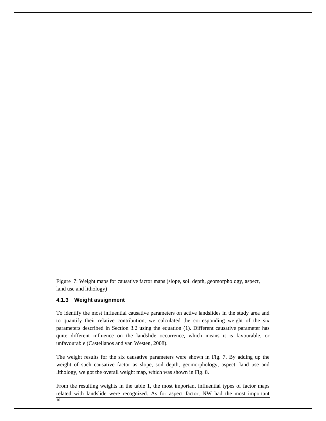Figure 7: Weight maps for causative factor maps (slope, soil depth, geomorphology, aspect, land use and lithology)

#### **4.1.3 Weight assignment**

To identify the most influential causative parameters on active landslides in the study area and to quantify their relative contribution, we calculated the corresponding weight of the six parameters described in Section 3.2 using the equation (1). Different causative parameter has quite different influence on the landslide occurrence, which means it is favourable, or unfavourable (Castellanos and van Westen, 2008).

The weight results for the six causative parameters were shown in Fig. 7. By adding up the weight of such causative factor as slope, soil depth, geomorphology, aspect, land use and lithology, we got the overall weight map, which was shown in Fig. 8.

From the resulting weights in the table 1, the most important influential types of factor maps related with landslide were recognized. As for aspect factor, NW had the most important

10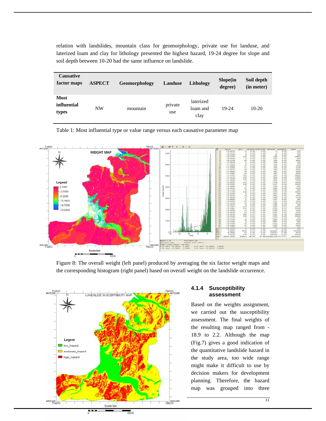relation with landslides, mountain class for geomorphology, private use for landuse, and laterized loam and clay for lithology presented the highest hazard, 19-24 degree for slope and soil depth between 10-20 had the same influence on landslide.

| <b>Causative</b><br>factor maps     | <b>ASPECT</b> | <b>Geomorphology</b> | Landuse        | Lithology                     | Slope(in<br>degree) | Soil depth<br>(in meter) |
|-------------------------------------|---------------|----------------------|----------------|-------------------------------|---------------------|--------------------------|
| <b>Most</b><br>influential<br>types | <b>NW</b>     | mountain             | private<br>use | laterized<br>loam and<br>clay | 19-24               | $10-20$                  |

 $714813$ 728213<br>4615285 m  $P$ **WEIGHT MAP**  $0.01111231456702222222233233333333333444$ Legend 2.1867  $-2.0359$  $-6.2585$ 10.4810 14.7036 18.9262

Table 1: Most influential type or value range versus each causative parameter map

Figure 8: The overall weight (left panel) produced by averaging the six factor weight maps and the corresponding histogram (right panel) based on overall weight on the landslide occurrence.

728213

014 00001-782017 (45.564)<br>01 int= -18.9262: 2.1867<br>01 int= -13.9067: 1.6700



Scale bar

 $\blacksquare$ 

 $4602485\n714813$ 

#### **4.1.4 Susceptibility assessment**

 $\begin{array}{cccc} 0.51 & \text{int}= -14.90091 & 1.9553 \\ 2.01 & \text{int}= -13.40761 & 1.8579 \end{array}$ 

Based on the weights assignment, we carried out the susceptibility assessment. The final weights of the resulting map ranged from - 18.9 to 2.2. Although the map (Fig.7) gives a good indication of the quantitative landslide hazard in the study area, too wide range might make it difficult to use by decision makers for development planning. Therefore, the hazard map was grouped into three

 $\begin{array}{c} n & nn \\ 0.00 & 0.76 \\ 0.01 & 0.04 \\ 0.04 & 0.04 \\ 93.84 \end{array}$ 

934523<br>230367<br>109970

 $0.41$ <br>  $0.00$ <br>  $0.02$ <br>  $48.96$ 

 $7072\n93\n370\n934533$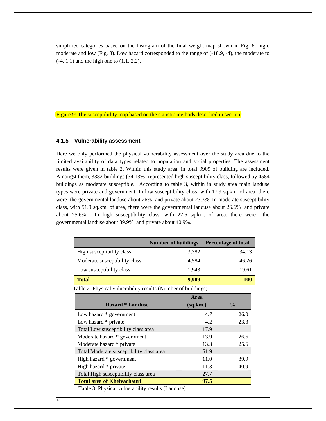simplified categories based on the histogram of the final weight map shown in Fig. 6: high, moderate and low (Fig. 8). Low hazard corresponded to the range of (-18.9, -4), the moderate to (-4, 1.1) and the high one to (1.1, 2.2).

Figure 9: The susceptibility map based on the statistic methods described in section

#### **4.1.5 Vulnerability assessment**

Here we only performed the physical vulnerability assessment over the study area due to the limited availability of data types related to population and social properties. The assessment results were given in table 2. Within this study area, in total 9909 of building are included. Amongst them, 3382 buildings (34.13%) represented high susceptibility class, followed by 4584 buildings as moderate susceptible. According to table 3, within in study area main landuse types were private and government. In low susceptibility class, with 17.9 sq.km. of area, there were the governmental landuse about 26% and private about 23.3%. In moderate susceptibility class, with 51.9 sq.km. of area, there were the governmental landuse about 26.6% and private about 25.6%. In high susceptibility class, with 27.6 sq.km. of area, there were the governmental landuse about 39.9% and private about 40.9%.

|                                                               | <b>Number of buildings</b> |          |      | <b>Percentage of total</b> |  |  |  |
|---------------------------------------------------------------|----------------------------|----------|------|----------------------------|--|--|--|
| High susceptibility class                                     |                            | 3,382    |      | 34.13                      |  |  |  |
| Moderate susceptibility class                                 |                            | 4,584    |      | 46.26                      |  |  |  |
| Low susceptibility class                                      |                            | 1,943    |      | 19.61                      |  |  |  |
| <b>Total</b>                                                  |                            | 9,909    |      | <b>100</b>                 |  |  |  |
| Table 2: Physical vulnerability results (Number of buildings) |                            |          |      |                            |  |  |  |
|                                                               |                            | Area     |      |                            |  |  |  |
| <b>Hazard * Landuse</b>                                       |                            | (sq.km.) |      | $\frac{0}{0}$              |  |  |  |
| Low hazard * government                                       |                            |          | 4.7  | 26.0                       |  |  |  |
| Low hazard * private                                          |                            |          | 4.2  | 23.3                       |  |  |  |
|                                                               |                            |          |      |                            |  |  |  |
| Total Low susceptibility class area                           |                            |          | 17.9 |                            |  |  |  |
| Moderate hazard * government                                  |                            |          | 13.9 | 26.6                       |  |  |  |
| Moderate hazard * private                                     |                            |          | 13.3 | 25.6                       |  |  |  |
| Total Moderate susceptibility class area                      |                            |          | 51.9 |                            |  |  |  |
| High hazard * government                                      |                            |          | 11.0 | 39.9                       |  |  |  |
| High hazard * private                                         |                            |          | 11.3 | 40.9                       |  |  |  |
| Total High susceptibility class area                          |                            |          | 27.7 |                            |  |  |  |

12